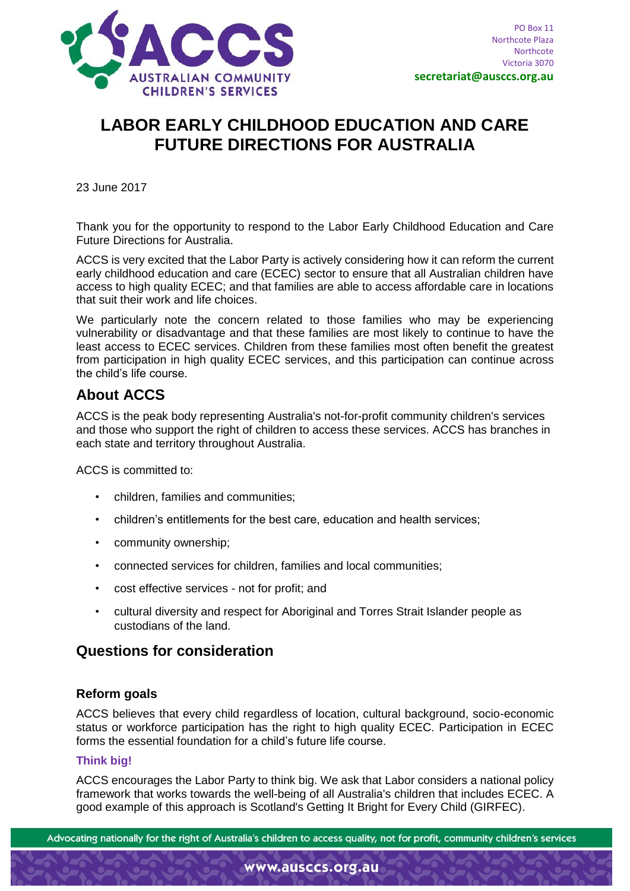

# **LABOR EARLY CHILDHOOD EDUCATION AND CARE FUTURE DIRECTIONS FOR AUSTRALIA**

23 June 2017

Thank you for the opportunity to respond to the Labor Early Childhood Education and Care Future Directions for Australia.

ACCS is very excited that the Labor Party is actively considering how it can reform the current early childhood education and care (ECEC) sector to ensure that all Australian children have access to high quality ECEC; and that families are able to access affordable care in locations that suit their work and life choices.

We particularly note the concern related to those families who may be experiencing vulnerability or disadvantage and that these families are most likely to continue to have the least access to ECEC services. Children from these families most often benefit the greatest from participation in high quality ECEC services, and this participation can continue across the child's life course.

## **About ACCS**

ACCS is the peak body representing Australia's not-for-profit community children's services and those who support the right of children to access these services. ACCS has branches in each state and territory throughout Australia.

ACCS is committed to:

- children, families and communities;
- children's entitlements for the best care, education and health services;
- community ownership;
- connected services for children, families and local communities;
- cost effective services not for profit; and
- cultural diversity and respect for Aboriginal and Torres Strait Islander people as custodians of the land.

## **Questions for consideration**

## **Reform goals**

ACCS believes that every child regardless of location, cultural background, socio-economic status or workforce participation has the right to high quality ECEC. Participation in ECEC forms the essential foundation for a child's future life course.

#### **Think big!**

ACCS encourages the Labor Party to think big. We ask that Labor considers a national policy framework that works towards the well-being of all Australia's children that includes ECEC. A good example of this approach is Scotland's Getting It Bright for Every Child (GIRFEC).

Advocating nationally for the right of Australia's children to access quality, not for profit, community children's services

www.ausccs.org.au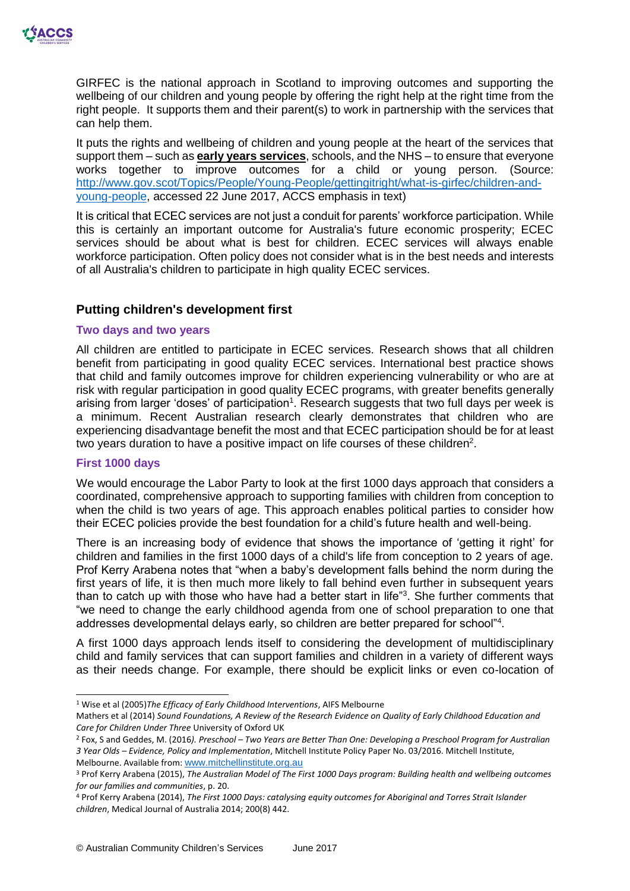

GIRFEC is the national approach in Scotland to improving outcomes and supporting the wellbeing of our children and young people by offering the right help at the right time from the right people. It supports them and their parent(s) to work in partnership with the services that can help them.

It puts the rights and wellbeing of children and young people at the heart of the services that support them – such as **early years services**, schools, and the NHS – to ensure that everyone works together to improve outcomes for a child or young person. (Source: [http://www.gov.scot/Topics/People/Young-People/gettingitright/what-is-girfec/children-and](http://www.gov.scot/Topics/People/Young-People/gettingitright/what-is-girfec/children-and-young-people)[young-people,](http://www.gov.scot/Topics/People/Young-People/gettingitright/what-is-girfec/children-and-young-people) accessed 22 June 2017, ACCS emphasis in text)

It is critical that ECEC services are not just a conduit for parents' workforce participation. While this is certainly an important outcome for Australia's future economic prosperity; ECEC services should be about what is best for children. ECEC services will always enable workforce participation. Often policy does not consider what is in the best needs and interests of all Australia's children to participate in high quality ECEC services.

## **Putting children's development first**

#### **Two days and two years**

All children are entitled to participate in ECEC services. Research shows that all children benefit from participating in good quality ECEC services. International best practice shows that child and family outcomes improve for children experiencing vulnerability or who are at risk with regular participation in good quality ECEC programs, with greater benefits generally arising from larger 'doses' of participation<sup>1</sup>. Research suggests that two full days per week is a minimum. Recent Australian research clearly demonstrates that children who are experiencing disadvantage benefit the most and that ECEC participation should be for at least two years duration to have a positive impact on life courses of these children<sup>2</sup>.

#### **First 1000 days**

-

We would encourage the Labor Party to look at the first 1000 days approach that considers a coordinated, comprehensive approach to supporting families with children from conception to when the child is two years of age. This approach enables political parties to consider how their ECEC policies provide the best foundation for a child's future health and well-being.

There is an increasing body of evidence that shows the importance of 'getting it right' for children and families in the first 1000 days of a child's life from conception to 2 years of age. Prof Kerry Arabena notes that "when a baby's development falls behind the norm during the first years of life, it is then much more likely to fall behind even further in subsequent years than to catch up with those who have had a better start in life<sup>"3</sup>. She further comments that "we need to change the early childhood agenda from one of school preparation to one that addresses developmental delays early, so children are better prepared for school"<sup>4</sup> .

A first 1000 days approach lends itself to considering the development of multidisciplinary child and family services that can support families and children in a variety of different ways as their needs change. For example, there should be explicit links or even co-location of

<sup>1</sup> Wise et al (2005)*The Efficacy of Early Childhood Interventions*, AIFS Melbourne

Mathers et al (2014) *Sound Foundations, A Review of the Research Evidence on Quality of Early Childhood Education and Care for Children Under Three* University of Oxford UK

<sup>2</sup> Fox, S and Geddes, M. (2016*). Preschool – Two Years are Better Than One: Developing a Preschool Program for Australian 3 Year Olds – Evidence, Policy and Implementation*, Mitchell Institute Policy Paper No. 03/2016. Mitchell Institute, Melbourne. Available from: [www.mitchellinstitute.org.au](http://www.mitchellinstitute.org.au/)

<sup>3</sup> Prof Kerry Arabena (2015), *The Australian Model of The First 1000 Days program: Building health and wellbeing outcomes for our families and communities*, p. 20.

<sup>4</sup> Prof Kerry Arabena (2014), *The First 1000 Days: catalysing equity outcomes for Aboriginal and Torres Strait Islander children*, Medical Journal of Australia 2014; 200(8) 442.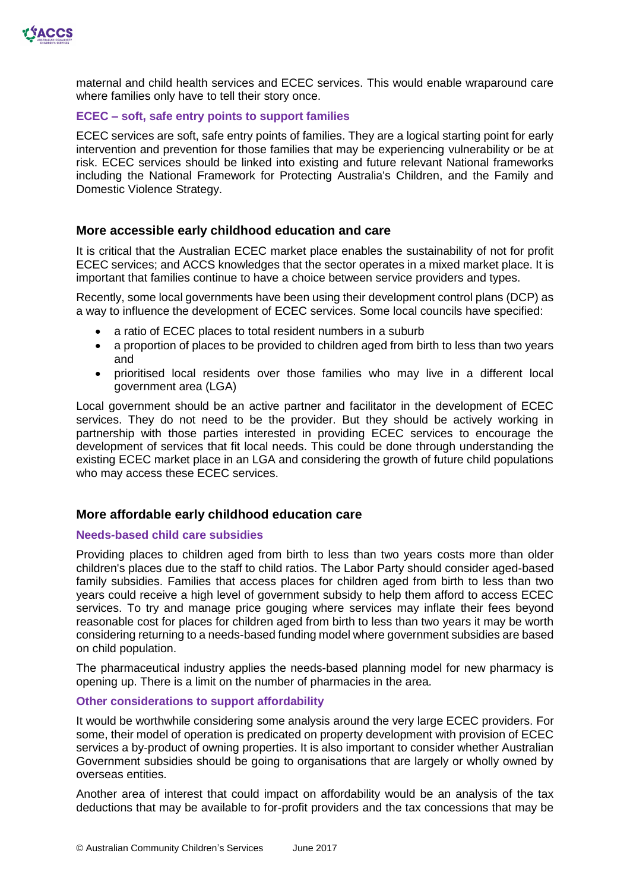

maternal and child health services and ECEC services. This would enable wraparound care where families only have to tell their story once.

#### **ECEC – soft, safe entry points to support families**

ECEC services are soft, safe entry points of families. They are a logical starting point for early intervention and prevention for those families that may be experiencing vulnerability or be at risk. ECEC services should be linked into existing and future relevant National frameworks including the National Framework for Protecting Australia's Children, and the Family and Domestic Violence Strategy.

#### **More accessible early childhood education and care**

It is critical that the Australian ECEC market place enables the sustainability of not for profit ECEC services; and ACCS knowledges that the sector operates in a mixed market place. It is important that families continue to have a choice between service providers and types.

Recently, some local governments have been using their development control plans (DCP) as a way to influence the development of ECEC services. Some local councils have specified:

- a ratio of ECEC places to total resident numbers in a suburb
- a proportion of places to be provided to children aged from birth to less than two years and
- prioritised local residents over those families who may live in a different local government area (LGA)

Local government should be an active partner and facilitator in the development of ECEC services. They do not need to be the provider. But they should be actively working in partnership with those parties interested in providing ECEC services to encourage the development of services that fit local needs. This could be done through understanding the existing ECEC market place in an LGA and considering the growth of future child populations who may access these ECEC services.

## **More affordable early childhood education care**

#### **Needs-based child care subsidies**

Providing places to children aged from birth to less than two years costs more than older children's places due to the staff to child ratios. The Labor Party should consider aged-based family subsidies. Families that access places for children aged from birth to less than two years could receive a high level of government subsidy to help them afford to access ECEC services. To try and manage price gouging where services may inflate their fees beyond reasonable cost for places for children aged from birth to less than two years it may be worth considering returning to a needs-based funding model where government subsidies are based on child population.

The pharmaceutical industry applies the needs-based planning model for new pharmacy is opening up. There is a limit on the number of pharmacies in the area.

#### **Other considerations to support affordability**

It would be worthwhile considering some analysis around the very large ECEC providers. For some, their model of operation is predicated on property development with provision of ECEC services a by-product of owning properties. It is also important to consider whether Australian Government subsidies should be going to organisations that are largely or wholly owned by overseas entities.

Another area of interest that could impact on affordability would be an analysis of the tax deductions that may be available to for-profit providers and the tax concessions that may be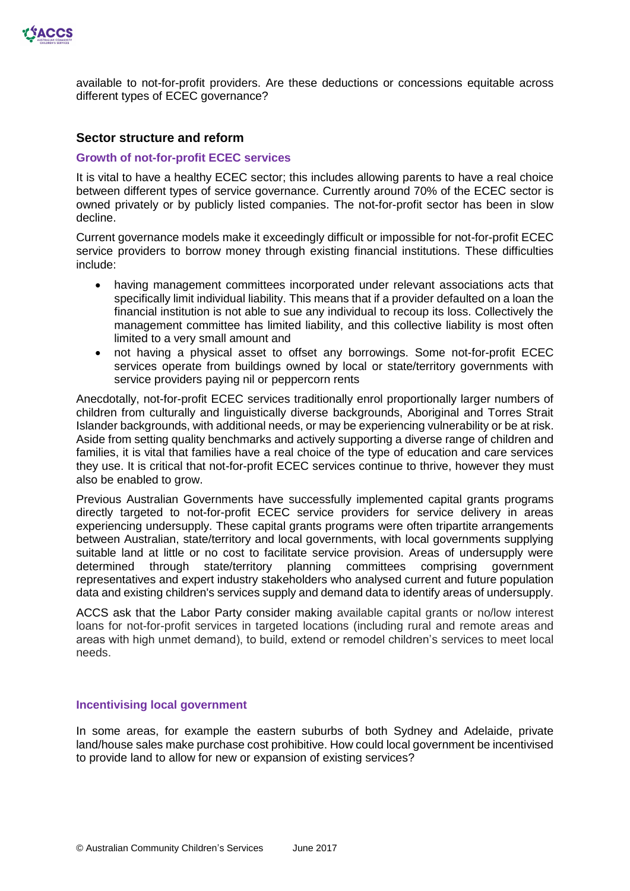

available to not-for-profit providers. Are these deductions or concessions equitable across different types of ECEC governance?

#### **Sector structure and reform**

#### **Growth of not-for-profit ECEC services**

It is vital to have a healthy ECEC sector; this includes allowing parents to have a real choice between different types of service governance. Currently around 70% of the ECEC sector is owned privately or by publicly listed companies. The not-for-profit sector has been in slow decline.

Current governance models make it exceedingly difficult or impossible for not-for-profit ECEC service providers to borrow money through existing financial institutions. These difficulties include:

- having management committees incorporated under relevant associations acts that specifically limit individual liability. This means that if a provider defaulted on a loan the financial institution is not able to sue any individual to recoup its loss. Collectively the management committee has limited liability, and this collective liability is most often limited to a very small amount and
- not having a physical asset to offset any borrowings. Some not-for-profit ECEC services operate from buildings owned by local or state/territory governments with service providers paying nil or peppercorn rents

Anecdotally, not-for-profit ECEC services traditionally enrol proportionally larger numbers of children from culturally and linguistically diverse backgrounds, Aboriginal and Torres Strait Islander backgrounds, with additional needs, or may be experiencing vulnerability or be at risk. Aside from setting quality benchmarks and actively supporting a diverse range of children and families, it is vital that families have a real choice of the type of education and care services they use. It is critical that not-for-profit ECEC services continue to thrive, however they must also be enabled to grow.

Previous Australian Governments have successfully implemented capital grants programs directly targeted to not-for-profit ECEC service providers for service delivery in areas experiencing undersupply. These capital grants programs were often tripartite arrangements between Australian, state/territory and local governments, with local governments supplying suitable land at little or no cost to facilitate service provision. Areas of undersupply were determined through state/territory planning committees comprising government representatives and expert industry stakeholders who analysed current and future population data and existing children's services supply and demand data to identify areas of undersupply.

ACCS ask that the Labor Party consider making available capital grants or no/low interest loans for not-for-profit services in targeted locations (including rural and remote areas and areas with high unmet demand), to build, extend or remodel children's services to meet local needs.

#### **Incentivising local government**

In some areas, for example the eastern suburbs of both Sydney and Adelaide, private land/house sales make purchase cost prohibitive. How could local government be incentivised to provide land to allow for new or expansion of existing services?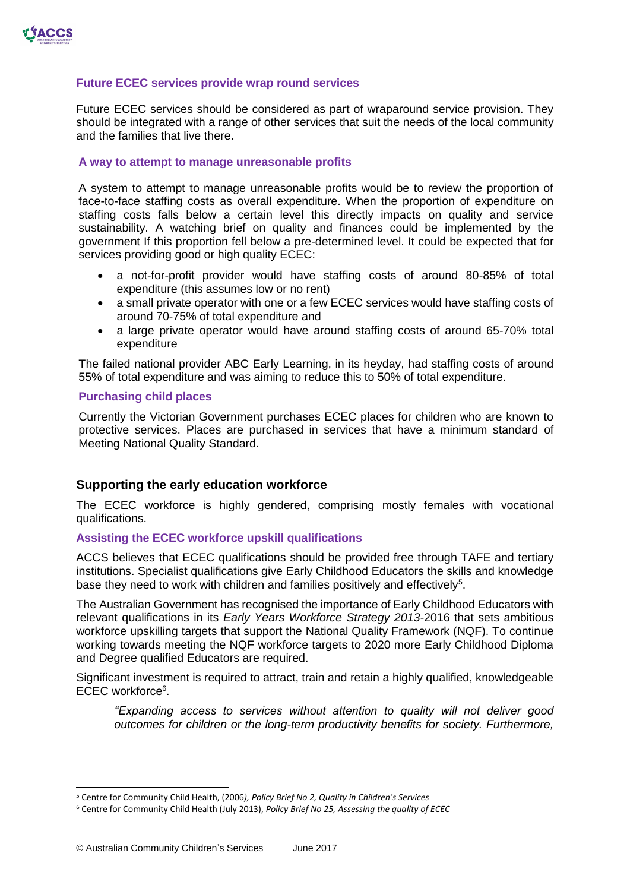

#### **Future ECEC services provide wrap round services**

Future ECEC services should be considered as part of wraparound service provision. They should be integrated with a range of other services that suit the needs of the local community and the families that live there.

#### **A way to attempt to manage unreasonable profits**

A system to attempt to manage unreasonable profits would be to review the proportion of face-to-face staffing costs as overall expenditure. When the proportion of expenditure on staffing costs falls below a certain level this directly impacts on quality and service sustainability. A watching brief on quality and finances could be implemented by the government If this proportion fell below a pre-determined level. It could be expected that for services providing good or high quality ECEC:

- a not-for-profit provider would have staffing costs of around 80-85% of total expenditure (this assumes low or no rent)
- a small private operator with one or a few ECEC services would have staffing costs of around 70-75% of total expenditure and
- a large private operator would have around staffing costs of around 65-70% total expenditure

The failed national provider ABC Early Learning, in its heyday, had staffing costs of around 55% of total expenditure and was aiming to reduce this to 50% of total expenditure.

#### **Purchasing child places**

Currently the Victorian Government purchases ECEC places for children who are known to protective services. Places are purchased in services that have a minimum standard of Meeting National Quality Standard.

#### **Supporting the early education workforce**

The ECEC workforce is highly gendered, comprising mostly females with vocational qualifications.

#### **Assisting the ECEC workforce upskill qualifications**

ACCS believes that ECEC qualifications should be provided free through TAFE and tertiary institutions. Specialist qualifications give Early Childhood Educators the skills and knowledge base they need to work with children and families positively and effectively<sup>5</sup>.

The Australian Government has recognised the importance of Early Childhood Educators with relevant qualifications in its *Early Years Workforce Strategy 2013-*2016 that sets ambitious workforce upskilling targets that support the National Quality Framework (NQF). To continue working towards meeting the NQF workforce targets to 2020 more Early Childhood Diploma and Degree qualified Educators are required.

Significant investment is required to attract, train and retain a highly qualified, knowledgeable ECEC workforce<sup>6</sup>.

*"Expanding access to services without attention to quality will not deliver good outcomes for children or the long-term productivity benefits for society. Furthermore,* 

 $\overline{a}$ 

<sup>5</sup> Centre for Community Child Health, (2006*), Policy Brief No 2, Quality in Children's Services*

<sup>6</sup> Centre for Community Child Health (July 2013), *Policy Brief No 25, Assessing the quality of ECEC*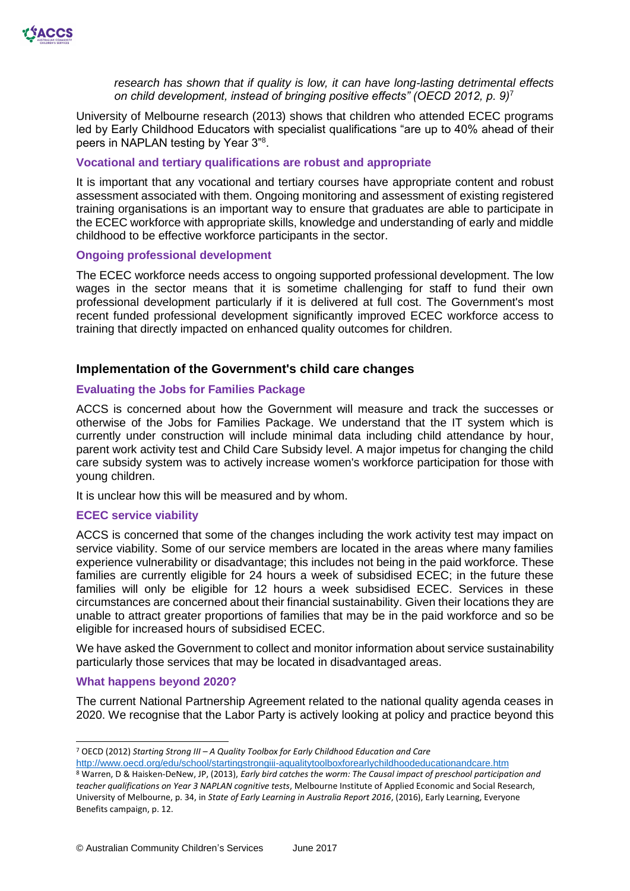

*research has shown that if quality is low, it can have long-lasting detrimental effects on child development, instead of bringing positive effects" (OECD 2012, p. 9)*<sup>7</sup>

University of Melbourne research (2013) shows that children who attended ECEC programs led by Early Childhood Educators with specialist qualifications "are up to 40% ahead of their peers in NAPLAN testing by Year 3"8.

#### **Vocational and tertiary qualifications are robust and appropriate**

It is important that any vocational and tertiary courses have appropriate content and robust assessment associated with them. Ongoing monitoring and assessment of existing registered training organisations is an important way to ensure that graduates are able to participate in the ECEC workforce with appropriate skills, knowledge and understanding of early and middle childhood to be effective workforce participants in the sector.

#### **Ongoing professional development**

The ECEC workforce needs access to ongoing supported professional development. The low wages in the sector means that it is sometime challenging for staff to fund their own professional development particularly if it is delivered at full cost. The Government's most recent funded professional development significantly improved ECEC workforce access to training that directly impacted on enhanced quality outcomes for children.

## **Implementation of the Government's child care changes**

#### **Evaluating the Jobs for Families Package**

ACCS is concerned about how the Government will measure and track the successes or otherwise of the Jobs for Families Package. We understand that the IT system which is currently under construction will include minimal data including child attendance by hour, parent work activity test and Child Care Subsidy level. A major impetus for changing the child care subsidy system was to actively increase women's workforce participation for those with young children.

It is unclear how this will be measured and by whom.

#### **ECEC service viability**

ACCS is concerned that some of the changes including the work activity test may impact on service viability. Some of our service members are located in the areas where many families experience vulnerability or disadvantage; this includes not being in the paid workforce. These families are currently eligible for 24 hours a week of subsidised ECEC; in the future these families will only be eligible for 12 hours a week subsidised ECEC. Services in these circumstances are concerned about their financial sustainability. Given their locations they are unable to attract greater proportions of families that may be in the paid workforce and so be eligible for increased hours of subsidised ECEC.

We have asked the Government to collect and monitor information about service sustainability particularly those services that may be located in disadvantaged areas.

#### **What happens beyond 2020?**

-

The current National Partnership Agreement related to the national quality agenda ceases in 2020. We recognise that the Labor Party is actively looking at policy and practice beyond this

<sup>7</sup> OECD (2012) *Starting Strong III – A Quality Toolbox for Early Childhood Education and Care* 

<http://www.oecd.org/edu/school/startingstrongiii-aqualitytoolboxforearlychildhoodeducationandcare.htm> <sup>8</sup> Warren, D & Haisken-DeNew, JP, (2013), *Early bird catches the worm: The Causal impact of preschool participation and teacher qualifications on Year 3 NAPLAN cognitive tests*, Melbourne Institute of Applied Economic and Social Research, University of Melbourne, p. 34, in *State of Early Learning in Australia Report 2016*, (2016), Early Learning, Everyone Benefits campaign, p. 12.